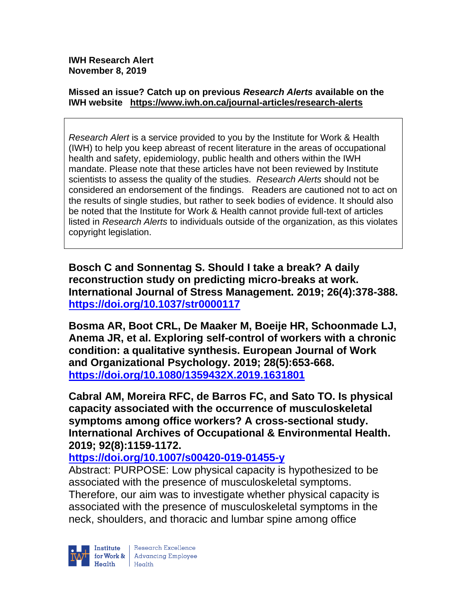**IWH Research Alert November 8, 2019**

#### **Missed an issue? Catch up on previous** *Research Alerts* **available on the [IWH website](http://www.iwh.on.ca/research-alerts) <https://www.iwh.on.ca/journal-articles/research-alerts>**

*Research Alert* is a service provided to you by the Institute for Work & Health (IWH) to help you keep abreast of recent literature in the areas of occupational health and safety, epidemiology, public health and others within the IWH mandate. Please note that these articles have not been reviewed by Institute scientists to assess the quality of the studies. *Research Alerts* should not be considered an endorsement of the findings. Readers are cautioned not to act on the results of single studies, but rather to seek bodies of evidence. It should also be noted that the Institute for Work & Health cannot provide full-text of articles listed in *Research Alerts* to individuals outside of the organization, as this violates copyright legislation.

**Bosch C and Sonnentag S. Should I take a break? A daily reconstruction study on predicting micro-breaks at work. International Journal of Stress Management. 2019; 26(4):378-388. <https://doi.org/10.1037/str0000117>** 

**Bosma AR, Boot CRL, De Maaker M, Boeije HR, Schoonmade LJ, Anema JR, et al. Exploring self-control of workers with a chronic condition: a qualitative synthesis. European Journal of Work and Organizational Psychology. 2019; 28(5):653-668. <https://doi.org/10.1080/1359432X.2019.1631801>** 

**Cabral AM, Moreira RFC, de Barros FC, and Sato TO. Is physical capacity associated with the occurrence of musculoskeletal symptoms among office workers? A cross-sectional study. International Archives of Occupational & Environmental Health. 2019; 92(8):1159-1172.** 

**<https://doi.org/10.1007/s00420-019-01455-y>** 

Abstract: PURPOSE: Low physical capacity is hypothesized to be associated with the presence of musculoskeletal symptoms. Therefore, our aim was to investigate whether physical capacity is associated with the presence of musculoskeletal symptoms in the neck, shoulders, and thoracic and lumbar spine among office

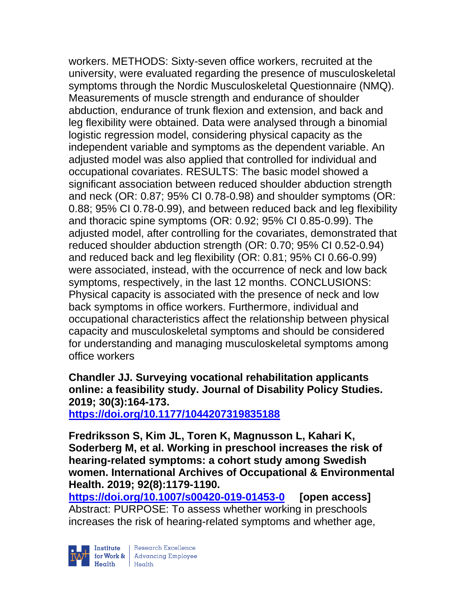workers. METHODS: Sixty-seven office workers, recruited at the university, were evaluated regarding the presence of musculoskeletal symptoms through the Nordic Musculoskeletal Questionnaire (NMQ). Measurements of muscle strength and endurance of shoulder abduction, endurance of trunk flexion and extension, and back and leg flexibility were obtained. Data were analysed through a binomial logistic regression model, considering physical capacity as the independent variable and symptoms as the dependent variable. An adjusted model was also applied that controlled for individual and occupational covariates. RESULTS: The basic model showed a significant association between reduced shoulder abduction strength and neck (OR: 0.87; 95% CI 0.78-0.98) and shoulder symptoms (OR: 0.88; 95% CI 0.78-0.99), and between reduced back and leg flexibility and thoracic spine symptoms (OR: 0.92; 95% CI 0.85-0.99). The adjusted model, after controlling for the covariates, demonstrated that reduced shoulder abduction strength (OR: 0.70; 95% CI 0.52-0.94) and reduced back and leg flexibility (OR: 0.81; 95% CI 0.66-0.99) were associated, instead, with the occurrence of neck and low back symptoms, respectively, in the last 12 months. CONCLUSIONS: Physical capacity is associated with the presence of neck and low back symptoms in office workers. Furthermore, individual and occupational characteristics affect the relationship between physical capacity and musculoskeletal symptoms and should be considered for understanding and managing musculoskeletal symptoms among office workers

**Chandler JJ. Surveying vocational rehabilitation applicants online: a feasibility study. Journal of Disability Policy Studies. 2019; 30(3):164-173. <https://doi.org/10.1177/1044207319835188>** 

**Fredriksson S, Kim JL, Toren K, Magnusson L, Kahari K, Soderberg M, et al. Working in preschool increases the risk of hearing-related symptoms: a cohort study among Swedish women. International Archives of Occupational & Environmental Health. 2019; 92(8):1179-1190.** 

**<https://doi.org/10.1007/s00420-019-01453-0> [open access]** Abstract: PURPOSE: To assess whether working in preschools increases the risk of hearing-related symptoms and whether age,

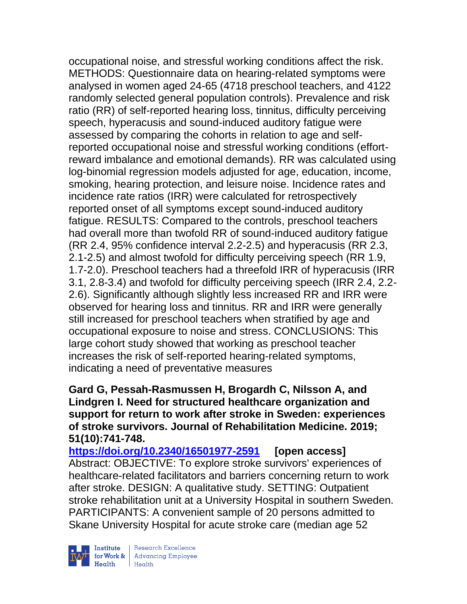occupational noise, and stressful working conditions affect the risk. METHODS: Questionnaire data on hearing-related symptoms were analysed in women aged 24-65 (4718 preschool teachers, and 4122 randomly selected general population controls). Prevalence and risk ratio (RR) of self-reported hearing loss, tinnitus, difficulty perceiving speech, hyperacusis and sound-induced auditory fatigue were assessed by comparing the cohorts in relation to age and selfreported occupational noise and stressful working conditions (effortreward imbalance and emotional demands). RR was calculated using log-binomial regression models adjusted for age, education, income, smoking, hearing protection, and leisure noise. Incidence rates and incidence rate ratios (IRR) were calculated for retrospectively reported onset of all symptoms except sound-induced auditory fatigue. RESULTS: Compared to the controls, preschool teachers had overall more than twofold RR of sound-induced auditory fatigue (RR 2.4, 95% confidence interval 2.2-2.5) and hyperacusis (RR 2.3, 2.1-2.5) and almost twofold for difficulty perceiving speech (RR 1.9, 1.7-2.0). Preschool teachers had a threefold IRR of hyperacusis (IRR 3.1, 2.8-3.4) and twofold for difficulty perceiving speech (IRR 2.4, 2.2- 2.6). Significantly although slightly less increased RR and IRR were observed for hearing loss and tinnitus. RR and IRR were generally still increased for preschool teachers when stratified by age and occupational exposure to noise and stress. CONCLUSIONS: This large cohort study showed that working as preschool teacher increases the risk of self-reported hearing-related symptoms, indicating a need of preventative measures

### **Gard G, Pessah-Rasmussen H, Brogardh C, Nilsson A, and Lindgren I. Need for structured healthcare organization and support for return to work after stroke in Sweden: experiences of stroke survivors. Journal of Rehabilitation Medicine. 2019; 51(10):741-748.**

**<https://doi.org/10.2340/16501977-2591> [open access]** Abstract: OBJECTIVE: To explore stroke survivors' experiences of healthcare-related facilitators and barriers concerning return to work after stroke. DESIGN: A qualitative study. SETTING: Outpatient stroke rehabilitation unit at a University Hospital in southern Sweden. PARTICIPANTS: A convenient sample of 20 persons admitted to Skane University Hospital for acute stroke care (median age 52



| Research Excellence for Work & Advancing Employee<br>Health Health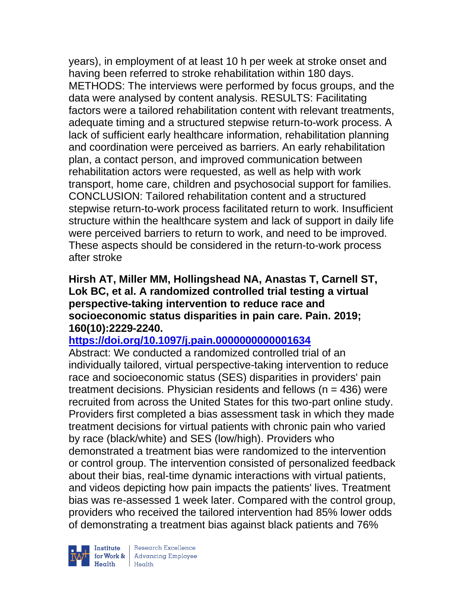years), in employment of at least 10 h per week at stroke onset and having been referred to stroke rehabilitation within 180 days. METHODS: The interviews were performed by focus groups, and the data were analysed by content analysis. RESULTS: Facilitating factors were a tailored rehabilitation content with relevant treatments, adequate timing and a structured stepwise return-to-work process. A lack of sufficient early healthcare information, rehabilitation planning and coordination were perceived as barriers. An early rehabilitation plan, a contact person, and improved communication between rehabilitation actors were requested, as well as help with work transport, home care, children and psychosocial support for families. CONCLUSION: Tailored rehabilitation content and a structured stepwise return-to-work process facilitated return to work. Insufficient structure within the healthcare system and lack of support in daily life were perceived barriers to return to work, and need to be improved. These aspects should be considered in the return-to-work process after stroke

#### **Hirsh AT, Miller MM, Hollingshead NA, Anastas T, Carnell ST, Lok BC, et al. A randomized controlled trial testing a virtual perspective-taking intervention to reduce race and socioeconomic status disparities in pain care. Pain. 2019; 160(10):2229-2240.**

### **<https://doi.org/10.1097/j.pain.0000000000001634>**

Abstract: We conducted a randomized controlled trial of an individually tailored, virtual perspective-taking intervention to reduce race and socioeconomic status (SES) disparities in providers' pain treatment decisions. Physician residents and fellows ( $n = 436$ ) were recruited from across the United States for this two-part online study. Providers first completed a bias assessment task in which they made treatment decisions for virtual patients with chronic pain who varied by race (black/white) and SES (low/high). Providers who demonstrated a treatment bias were randomized to the intervention or control group. The intervention consisted of personalized feedback about their bias, real-time dynamic interactions with virtual patients, and videos depicting how pain impacts the patients' lives. Treatment bias was re-assessed 1 week later. Compared with the control group, providers who received the tailored intervention had 85% lower odds of demonstrating a treatment bias against black patients and 76%



| Research Excellence Finantium Research Excellence<br>
Finantium Research Employee<br>
Realth Health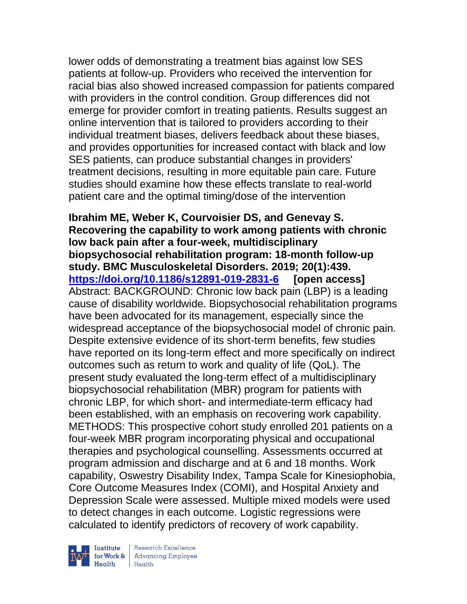lower odds of demonstrating a treatment bias against low SES patients at follow-up. Providers who received the intervention for racial bias also showed increased compassion for patients compared with providers in the control condition. Group differences did not emerge for provider comfort in treating patients. Results suggest an online intervention that is tailored to providers according to their individual treatment biases, delivers feedback about these biases, and provides opportunities for increased contact with black and low SES patients, can produce substantial changes in providers' treatment decisions, resulting in more equitable pain care. Future studies should examine how these effects translate to real-world patient care and the optimal timing/dose of the intervention

**Ibrahim ME, Weber K, Courvoisier DS, and Genevay S. Recovering the capability to work among patients with chronic low back pain after a four-week, multidisciplinary biopsychosocial rehabilitation program: 18-month follow-up study. BMC Musculoskeletal Disorders. 2019; 20(1):439. <https://doi.org/10.1186/s12891-019-2831-6> [open access]** Abstract: BACKGROUND: Chronic low back pain (LBP) is a leading cause of disability worldwide. Biopsychosocial rehabilitation programs have been advocated for its management, especially since the widespread acceptance of the biopsychosocial model of chronic pain. Despite extensive evidence of its short-term benefits, few studies have reported on its long-term effect and more specifically on indirect outcomes such as return to work and quality of life (QoL). The present study evaluated the long-term effect of a multidisciplinary biopsychosocial rehabilitation (MBR) program for patients with chronic LBP, for which short- and intermediate-term efficacy had been established, with an emphasis on recovering work capability. METHODS: This prospective cohort study enrolled 201 patients on a four-week MBR program incorporating physical and occupational therapies and psychological counselling. Assessments occurred at program admission and discharge and at 6 and 18 months. Work capability, Oswestry Disability Index, Tampa Scale for Kinesiophobia, Core Outcome Measures Index (COMI), and Hospital Anxiety and Depression Scale were assessed. Multiple mixed models were used to detect changes in each outcome. Logistic regressions were calculated to identify predictors of recovery of work capability.



| Research Excellence for Work & Advancing Employee<br>Health Health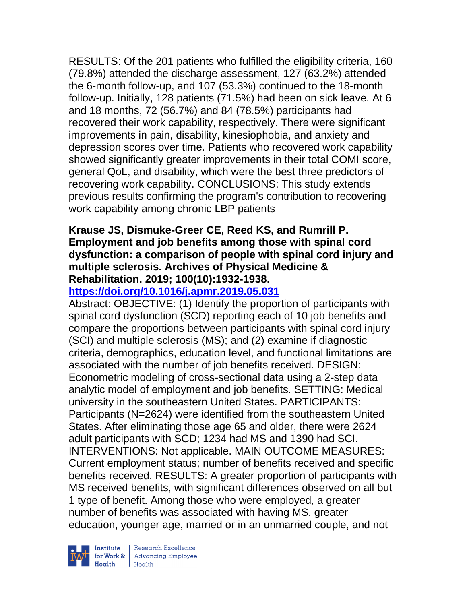RESULTS: Of the 201 patients who fulfilled the eligibility criteria, 160 (79.8%) attended the discharge assessment, 127 (63.2%) attended the 6-month follow-up, and 107 (53.3%) continued to the 18-month follow-up. Initially, 128 patients (71.5%) had been on sick leave. At 6 and 18 months, 72 (56.7%) and 84 (78.5%) participants had recovered their work capability, respectively. There were significant improvements in pain, disability, kinesiophobia, and anxiety and depression scores over time. Patients who recovered work capability showed significantly greater improvements in their total COMI score, general QoL, and disability, which were the best three predictors of recovering work capability. CONCLUSIONS: This study extends previous results confirming the program's contribution to recovering work capability among chronic LBP patients

### **Krause JS, Dismuke-Greer CE, Reed KS, and Rumrill P. Employment and job benefits among those with spinal cord dysfunction: a comparison of people with spinal cord injury and multiple sclerosis. Archives of Physical Medicine & Rehabilitation. 2019; 100(10):1932-1938.**

## **<https://doi.org/10.1016/j.apmr.2019.05.031>**

Abstract: OBJECTIVE: (1) Identify the proportion of participants with spinal cord dysfunction (SCD) reporting each of 10 job benefits and compare the proportions between participants with spinal cord injury (SCI) and multiple sclerosis (MS); and (2) examine if diagnostic criteria, demographics, education level, and functional limitations are associated with the number of job benefits received. DESIGN: Econometric modeling of cross-sectional data using a 2-step data analytic model of employment and job benefits. SETTING: Medical university in the southeastern United States. PARTICIPANTS: Participants (N=2624) were identified from the southeastern United States. After eliminating those age 65 and older, there were 2624 adult participants with SCD; 1234 had MS and 1390 had SCI. INTERVENTIONS: Not applicable. MAIN OUTCOME MEASURES: Current employment status; number of benefits received and specific benefits received. RESULTS: A greater proportion of participants with MS received benefits, with significant differences observed on all but 1 type of benefit. Among those who were employed, a greater number of benefits was associated with having MS, greater education, younger age, married or in an unmarried couple, and not



 $\begin{tabular}{|l|} Institute & Research Excellence \\ \hline for Work & Advancing Employee \\ Health & Health \\ \end{tabular}$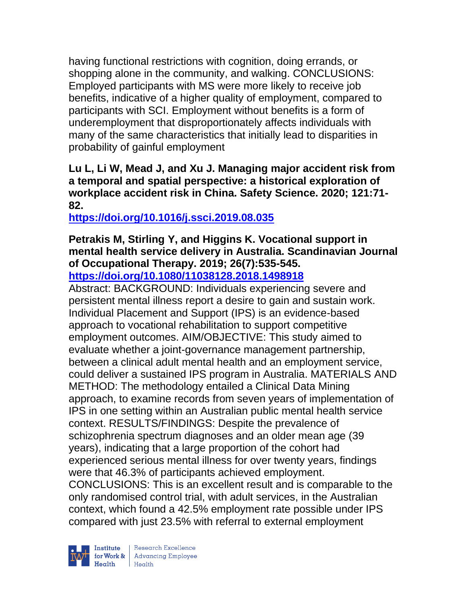having functional restrictions with cognition, doing errands, or shopping alone in the community, and walking. CONCLUSIONS: Employed participants with MS were more likely to receive job benefits, indicative of a higher quality of employment, compared to participants with SCI. Employment without benefits is a form of underemployment that disproportionately affects individuals with many of the same characteristics that initially lead to disparities in probability of gainful employment

**Lu L, Li W, Mead J, and Xu J. Managing major accident risk from a temporal and spatial perspective: a historical exploration of workplace accident risk in China. Safety Science. 2020; 121:71- 82.** 

**<https://doi.org/10.1016/j.ssci.2019.08.035>** 

# **Petrakis M, Stirling Y, and Higgins K. Vocational support in mental health service delivery in Australia. Scandinavian Journal of Occupational Therapy. 2019; 26(7):535-545.**

**<https://doi.org/10.1080/11038128.2018.1498918>** 

Abstract: BACKGROUND: Individuals experiencing severe and persistent mental illness report a desire to gain and sustain work. Individual Placement and Support (IPS) is an evidence-based approach to vocational rehabilitation to support competitive employment outcomes. AIM/OBJECTIVE: This study aimed to evaluate whether a joint-governance management partnership, between a clinical adult mental health and an employment service, could deliver a sustained IPS program in Australia. MATERIALS AND METHOD: The methodology entailed a Clinical Data Mining approach, to examine records from seven years of implementation of IPS in one setting within an Australian public mental health service context. RESULTS/FINDINGS: Despite the prevalence of schizophrenia spectrum diagnoses and an older mean age (39 years), indicating that a large proportion of the cohort had experienced serious mental illness for over twenty years, findings were that 46.3% of participants achieved employment. CONCLUSIONS: This is an excellent result and is comparable to the only randomised control trial, with adult services, in the Australian context, which found a 42.5% employment rate possible under IPS compared with just 23.5% with referral to external employment

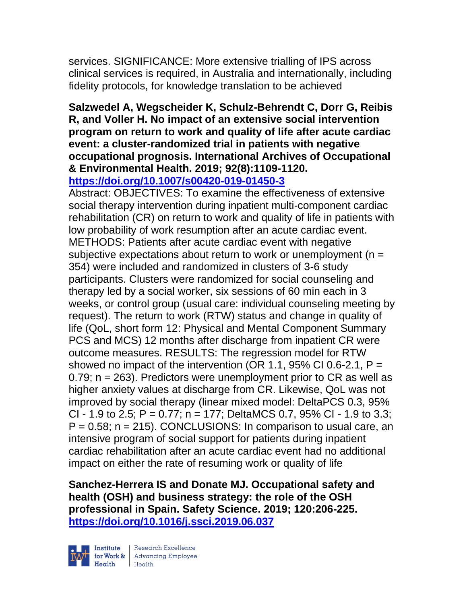services. SIGNIFICANCE: More extensive trialling of IPS across clinical services is required, in Australia and internationally, including fidelity protocols, for knowledge translation to be achieved

### **Salzwedel A, Wegscheider K, Schulz-Behrendt C, Dorr G, Reibis R, and Voller H. No impact of an extensive social intervention program on return to work and quality of life after acute cardiac event: a cluster-randomized trial in patients with negative occupational prognosis. International Archives of Occupational & Environmental Health. 2019; 92(8):1109-1120.**

**<https://doi.org/10.1007/s00420-019-01450-3>** 

Abstract: OBJECTIVES: To examine the effectiveness of extensive social therapy intervention during inpatient multi-component cardiac rehabilitation (CR) on return to work and quality of life in patients with low probability of work resumption after an acute cardiac event. METHODS: Patients after acute cardiac event with negative subjective expectations about return to work or unemployment ( $n =$ 354) were included and randomized in clusters of 3-6 study participants. Clusters were randomized for social counseling and therapy led by a social worker, six sessions of 60 min each in 3 weeks, or control group (usual care: individual counseling meeting by request). The return to work (RTW) status and change in quality of life (QoL, short form 12: Physical and Mental Component Summary PCS and MCS) 12 months after discharge from inpatient CR were outcome measures. RESULTS: The regression model for RTW showed no impact of the intervention (OR 1.1, 95% CI 0.6-2.1,  $P =$ 0.79; n = 263). Predictors were unemployment prior to CR as well as higher anxiety values at discharge from CR. Likewise, QoL was not improved by social therapy (linear mixed model: DeltaPCS 0.3, 95% CI - 1.9 to 2.5; P = 0.77; n = 177; DeltaMCS 0.7, 95% CI - 1.9 to 3.3;  $P = 0.58$ ; n = 215). CONCLUSIONS: In comparison to usual care, an intensive program of social support for patients during inpatient cardiac rehabilitation after an acute cardiac event had no additional impact on either the rate of resuming work or quality of life

**Sanchez-Herrera IS and Donate MJ. Occupational safety and health (OSH) and business strategy: the role of the OSH professional in Spain. Safety Science. 2019; 120:206-225. <https://doi.org/10.1016/j.ssci.2019.06.037>** 



| Research Excellence Finantium Research Excellence<br>
Finantium Research Employee<br>
Realth Health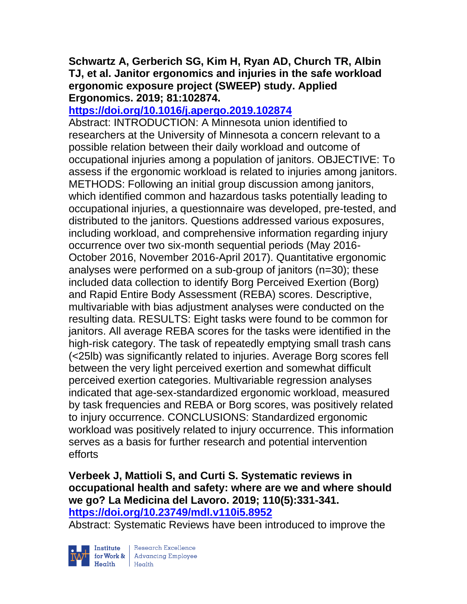### **Schwartz A, Gerberich SG, Kim H, Ryan AD, Church TR, Albin TJ, et al. Janitor ergonomics and injuries in the safe workload ergonomic exposure project (SWEEP) study. Applied Ergonomics. 2019; 81:102874.**

### **<https://doi.org/10.1016/j.apergo.2019.102874>**

Abstract: INTRODUCTION: A Minnesota union identified to researchers at the University of Minnesota a concern relevant to a possible relation between their daily workload and outcome of occupational injuries among a population of janitors. OBJECTIVE: To assess if the ergonomic workload is related to injuries among janitors. METHODS: Following an initial group discussion among janitors, which identified common and hazardous tasks potentially leading to occupational injuries, a questionnaire was developed, pre-tested, and distributed to the janitors. Questions addressed various exposures, including workload, and comprehensive information regarding injury occurrence over two six-month sequential periods (May 2016- October 2016, November 2016-April 2017). Quantitative ergonomic analyses were performed on a sub-group of janitors (n=30); these included data collection to identify Borg Perceived Exertion (Borg) and Rapid Entire Body Assessment (REBA) scores. Descriptive, multivariable with bias adjustment analyses were conducted on the resulting data. RESULTS: Eight tasks were found to be common for janitors. All average REBA scores for the tasks were identified in the high-risk category. The task of repeatedly emptying small trash cans (<25lb) was significantly related to injuries. Average Borg scores fell between the very light perceived exertion and somewhat difficult perceived exertion categories. Multivariable regression analyses indicated that age-sex-standardized ergonomic workload, measured by task frequencies and REBA or Borg scores, was positively related to injury occurrence. CONCLUSIONS: Standardized ergonomic workload was positively related to injury occurrence. This information serves as a basis for further research and potential intervention efforts

### **Verbeek J, Mattioli S, and Curti S. Systematic reviews in occupational health and safety: where are we and where should we go? La Medicina del Lavoro. 2019; 110(5):331-341. <https://doi.org/10.23749/mdl.v110i5.8952>**

Abstract: Systematic Reviews have been introduced to improve the



 $\begin{tabular}{|l|} Institute & Research Excellence \\ \hline for Work & Advancing Employee \\ Health & Health \\ \end{tabular}$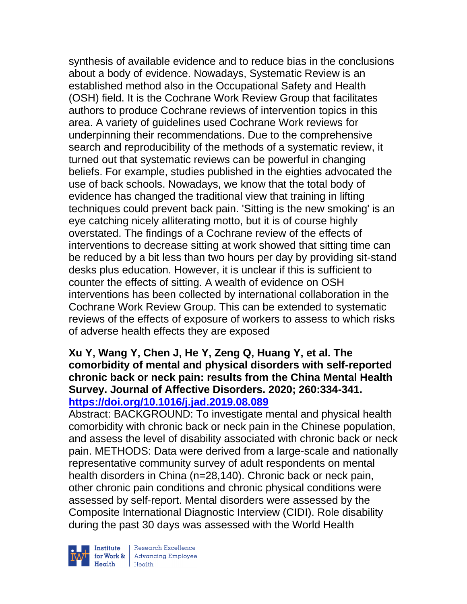synthesis of available evidence and to reduce bias in the conclusions about a body of evidence. Nowadays, Systematic Review is an established method also in the Occupational Safety and Health (OSH) field. It is the Cochrane Work Review Group that facilitates authors to produce Cochrane reviews of intervention topics in this area. A variety of guidelines used Cochrane Work reviews for underpinning their recommendations. Due to the comprehensive search and reproducibility of the methods of a systematic review, it turned out that systematic reviews can be powerful in changing beliefs. For example, studies published in the eighties advocated the use of back schools. Nowadays, we know that the total body of evidence has changed the traditional view that training in lifting techniques could prevent back pain. 'Sitting is the new smoking' is an eye catching nicely alliterating motto, but it is of course highly overstated. The findings of a Cochrane review of the effects of interventions to decrease sitting at work showed that sitting time can be reduced by a bit less than two hours per day by providing sit-stand desks plus education. However, it is unclear if this is sufficient to counter the effects of sitting. A wealth of evidence on OSH interventions has been collected by international collaboration in the Cochrane Work Review Group. This can be extended to systematic reviews of the effects of exposure of workers to assess to which risks of adverse health effects they are exposed

### **Xu Y, Wang Y, Chen J, He Y, Zeng Q, Huang Y, et al. The comorbidity of mental and physical disorders with self-reported chronic back or neck pain: results from the China Mental Health Survey. Journal of Affective Disorders. 2020; 260:334-341. <https://doi.org/10.1016/j.jad.2019.08.089>**

Abstract: BACKGROUND: To investigate mental and physical health comorbidity with chronic back or neck pain in the Chinese population, and assess the level of disability associated with chronic back or neck pain. METHODS: Data were derived from a large-scale and nationally representative community survey of adult respondents on mental health disorders in China (n=28,140). Chronic back or neck pain, other chronic pain conditions and chronic physical conditions were assessed by self-report. Mental disorders were assessed by the Composite International Diagnostic Interview (CIDI). Role disability during the past 30 days was assessed with the World Health



| Research Excellence **Example 18 Advancing Employee**<br> **Health** Health<br>
Health<br>
Health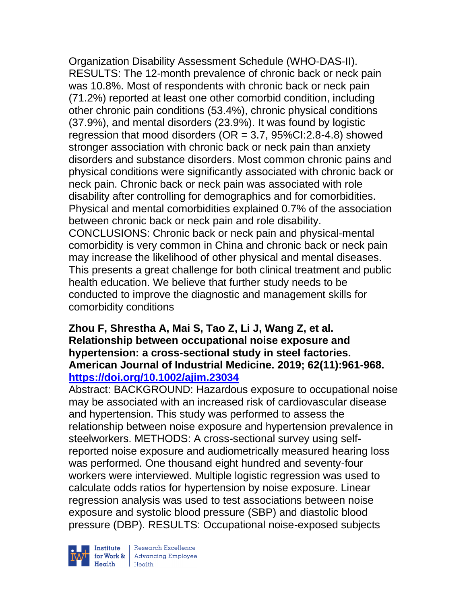Organization Disability Assessment Schedule (WHO-DAS-II). RESULTS: The 12-month prevalence of chronic back or neck pain was 10.8%. Most of respondents with chronic back or neck pain (71.2%) reported at least one other comorbid condition, including other chronic pain conditions (53.4%), chronic physical conditions (37.9%), and mental disorders (23.9%). It was found by logistic regression that mood disorders ( $OR = 3.7$ ,  $95\% CI:2.8-4.8$ ) showed stronger association with chronic back or neck pain than anxiety disorders and substance disorders. Most common chronic pains and physical conditions were significantly associated with chronic back or neck pain. Chronic back or neck pain was associated with role disability after controlling for demographics and for comorbidities. Physical and mental comorbidities explained 0.7% of the association between chronic back or neck pain and role disability. CONCLUSIONS: Chronic back or neck pain and physical-mental comorbidity is very common in China and chronic back or neck pain may increase the likelihood of other physical and mental diseases. This presents a great challenge for both clinical treatment and public health education. We believe that further study needs to be conducted to improve the diagnostic and management skills for comorbidity conditions

### **Zhou F, Shrestha A, Mai S, Tao Z, Li J, Wang Z, et al. Relationship between occupational noise exposure and hypertension: a cross-sectional study in steel factories. American Journal of Industrial Medicine. 2019; 62(11):961-968. <https://doi.org/10.1002/ajim.23034>**

Abstract: BACKGROUND: Hazardous exposure to occupational noise may be associated with an increased risk of cardiovascular disease and hypertension. This study was performed to assess the relationship between noise exposure and hypertension prevalence in steelworkers. METHODS: A cross-sectional survey using selfreported noise exposure and audiometrically measured hearing loss was performed. One thousand eight hundred and seventy-four workers were interviewed. Multiple logistic regression was used to calculate odds ratios for hypertension by noise exposure. Linear regression analysis was used to test associations between noise exposure and systolic blood pressure (SBP) and diastolic blood pressure (DBP). RESULTS: Occupational noise-exposed subjects



 $\begin{tabular}{|l|} Institute & Research Excellence \\ \hline for Work & Advancing Employee \\ Health & Health \\ \end{tabular}$ | Research Excellence